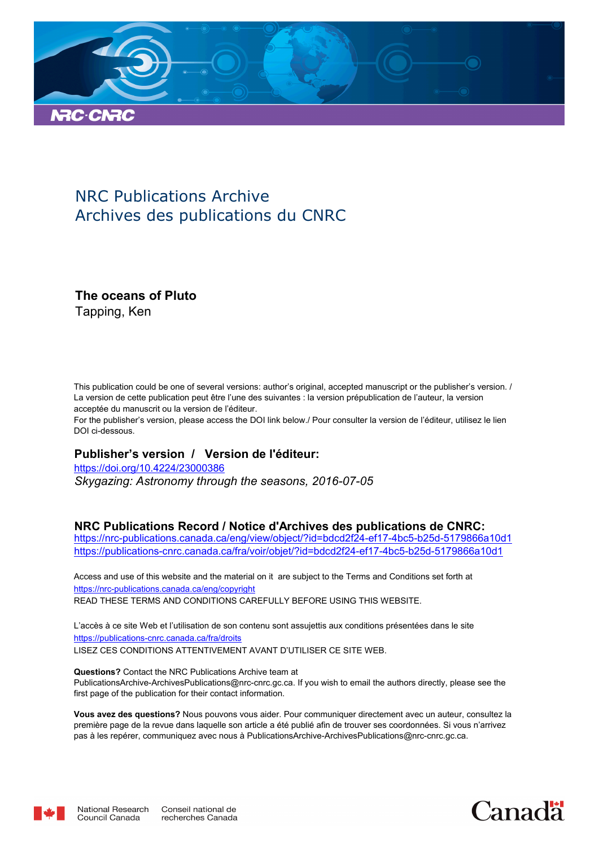

## NRC Publications Archive Archives des publications du CNRC

### **The oceans of Pluto**

Tapping, Ken

This publication could be one of several versions: author's original, accepted manuscript or the publisher's version. / La version de cette publication peut être l'une des suivantes : la version prépublication de l'auteur, la version acceptée du manuscrit ou la version de l'éditeur.

For the publisher's version, please access the DOI link below./ Pour consulter la version de l'éditeur, utilisez le lien DOI ci-dessous.

#### **Publisher's version / Version de l'éditeur:**

*Skygazing: Astronomy through the seasons, 2016-07-05* https://doi.org/10.4224/23000386

#### **NRC Publications Record / Notice d'Archives des publications de CNRC:**

https://nrc-publications.canada.ca/eng/view/object/?id=bdcd2f24-ef17-4bc5-b25d-5179866a10d1 https://publications-cnrc.canada.ca/fra/voir/objet/?id=bdcd2f24-ef17-4bc5-b25d-5179866a10d1

READ THESE TERMS AND CONDITIONS CAREFULLY BEFORE USING THIS WEBSITE. https://nrc-publications.canada.ca/eng/copyright Access and use of this website and the material on it are subject to the Terms and Conditions set forth at

https://publications-cnrc.canada.ca/fra/droits L'accès à ce site Web et l'utilisation de son contenu sont assujettis aux conditions présentées dans le site LISEZ CES CONDITIONS ATTENTIVEMENT AVANT D'UTILISER CE SITE WEB.

**Questions?** Contact the NRC Publications Archive team at PublicationsArchive-ArchivesPublications@nrc-cnrc.gc.ca. If you wish to email the authors directly, please see the first page of the publication for their contact information.

**Vous avez des questions?** Nous pouvons vous aider. Pour communiquer directement avec un auteur, consultez la première page de la revue dans laquelle son article a été publié afin de trouver ses coordonnées. Si vous n'arrivez pas à les repérer, communiquez avec nous à PublicationsArchive-ArchivesPublications@nrc-cnrc.gc.ca.